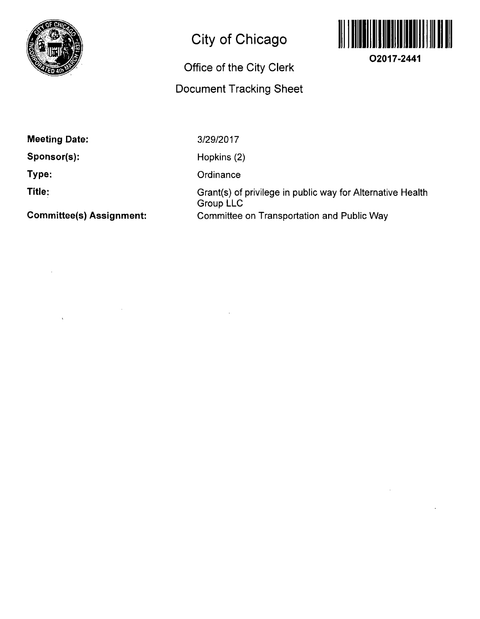

## **City of Chicago**

### **Office Of the City Clerk**

## **Document Tracking Sheet**



**O2017-2441** 

**Meeting Date:** 

**Sponsor(s):** 

**Type:** 

**Title:** 

**Committee(s) Assignment:** 

3/29/2017

Hopkins (2)

**Ordinance** 

Grant(s) of privilege in public way for Alternative Health Group LLC Connmittee on Transportation and Public Way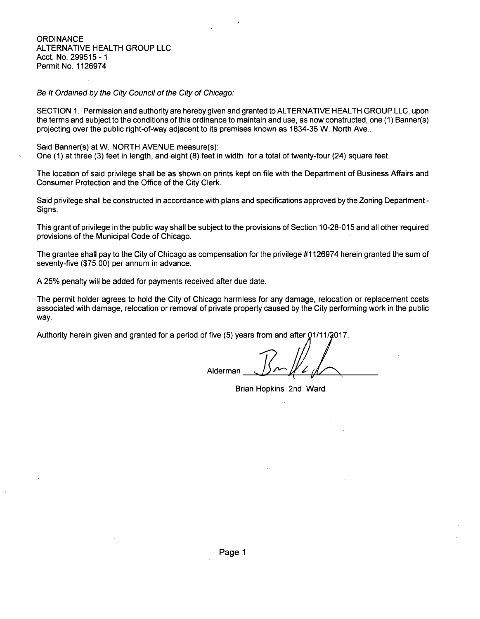**ORDINANCE** ALTERNATIVE HEALTH GROUP LLC Acct. No. 299515-1 Permit No. 1126974

#### Be It Ordained by the City Council of the City of Chicago:

SECTION 1. Permission and authority are hereby given and granted to ALTERNATIVE HEALTH GROUP LLC, upon the terms and subject to the conditions of this ordinance to maintain and use, as now constructed, one (1) Banner(s) projecting over the public right-of-way adjacent to its premises known as 1834-36 W. North Ave..

Said Banner(s) at W. NORTH AVENUE measure(s): One (1) at three (3) feet in length, and eight (8) feet in width for a total of twenty-four (24) square feet.

The location of said privilege shall be as shown on prints kept on file with the Department of Business Affairs and Consumer Protection and the Office of the City Clerk.

Said privilege shall be constructed in accordance with plans and specifications approved by the Zoning Department - Signs.

This grant of privilege in the public way shall be subject to the provisions of Section 10-28-015 and all other required provisions of the Municipal Code of Chicago.

The grantee shall pay to the City of Chicago as compensation for the privilege #1126974 herein granted the sum of seventy-five (\$75.00) per annum in advance.

A 25% penalty will be added for payments received after due date.

The permit holder agrees to hold the City of Chicago harmless for any damage, relocation or replacement costs associated with damage, relocation or removal of private property caused by the City performing work in the public way.

Authority herein given and granted for a period of five (5) years from and after 01/11/2017.

Alderman

Brian Hopkins 2nd Ward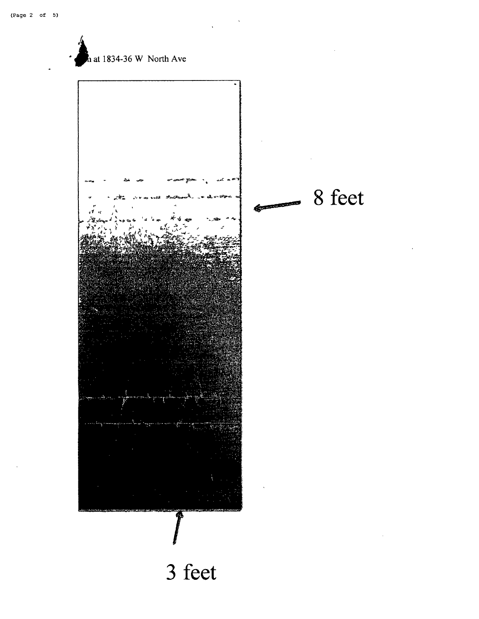**lat 1834-36 W** North Ave **8 feet CONTRACTOR** 

# **3 feet**